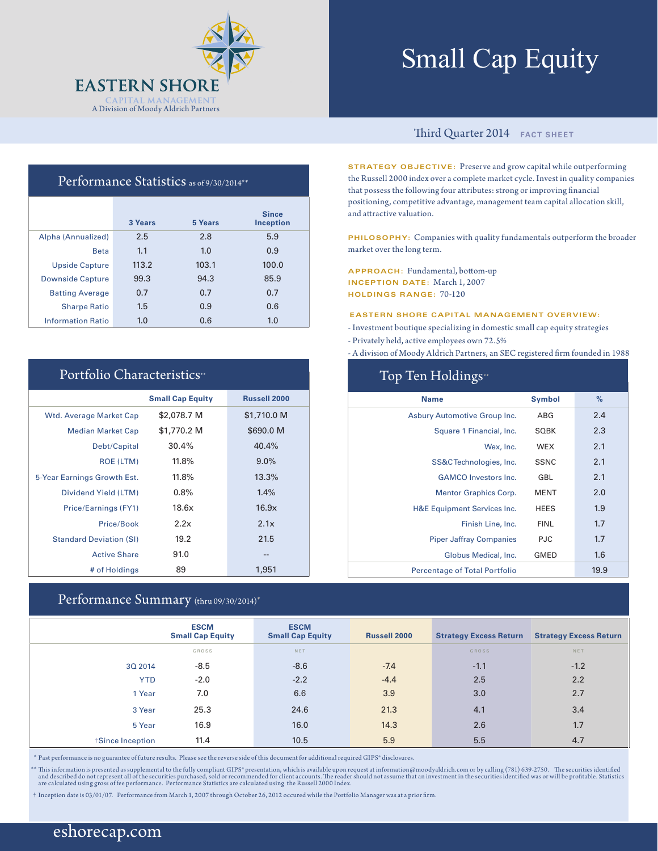

# Small Cap Equity

## Performance Statistics as of 9/30/2014\*\*

|                          | 3 Years | 5 Years | <b>Since</b><br><b>Inception</b> |
|--------------------------|---------|---------|----------------------------------|
| Alpha (Annualized)       | 2.5     | 2.8     | 5.9                              |
| <b>Beta</b>              | 1.1     | 1.0     | 0.9                              |
| <b>Upside Capture</b>    | 113.2   | 103.1   | 100.0                            |
| <b>Downside Capture</b>  | 99.3    | 94.3    | 85.9                             |
| <b>Batting Average</b>   | 0.7     | 0.7     | 0.7                              |
| <b>Sharpe Ratio</b>      | 1.5     | 0.9     | 0.6                              |
| <b>Information Ratio</b> | 1.0     | 0.6     | 1.0                              |

### Portfolio Characteristics\*\*

|                                | <b>Small Cap Equity</b> | <b>Russell 2000</b> |
|--------------------------------|-------------------------|---------------------|
| <b>Wtd. Average Market Cap</b> | \$2,078.7 M             | \$1,710.0 M         |
| <b>Median Market Cap</b>       | \$1,770.2 M             | \$690.0 M           |
| Debt/Capital                   | 30.4%                   | 40.4%               |
| <b>ROE (LTM)</b>               | $11.8\%$                | $9.0\%$             |
| 5-Year Earnings Growth Est.    | 11.8%                   | 13.3%               |
| Dividend Yield (LTM)           | 0.8%                    | 1.4%                |
| Price/Earnings (FY1)           | 18.6x                   | 16.9x               |
| Price/Book                     | 2.2x                    | 2.1x                |
| <b>Standard Deviation (SI)</b> | 19.2                    | 21.5                |
| <b>Active Share</b>            | 91.0                    | --                  |
| # of Holdings                  | 89                      | 1,951               |

### Performance Summary (thru 09/30/2014)\*

#### Third Quarter 2014 **FACT SHEET**

**STRATEGY OBJECTIVE:** Preserve and grow capital while outperforming the Russell 2000 index over a complete market cycle. Invest in quality companies that possess the following four attributes: strong or improving financial positioning, competitive advantage, management team capital allocation skill, and attractive valuation.

**PHILOSOPHY:** Companies with quality fundamentals outperform the broader market over the long term.

**APPROACH:** Fundamental, bottom-up **INCEPTION DATE:** March 1, 2007 **HOLDINGS RANGE:** 70-120

#### **EASTERN SHORE CAPITAL MANAGEMENT OVERVIEW:**

- Investment boutique specializing in domestic small cap equity strategies

- Privately held, active employees own 72.5%

- A division of Moody Aldrich Partners, an SEC registered firm founded in 1988

| Top Ten Holdings <sup>*</sup>          |               |      |  |  |  |  |  |
|----------------------------------------|---------------|------|--|--|--|--|--|
| <b>Name</b>                            | <b>Symbol</b> | %    |  |  |  |  |  |
| Asbury Automotive Group Inc.           | ABG           | 2.4  |  |  |  |  |  |
| Square 1 Financial, Inc.               | <b>SQBK</b>   | 2.3  |  |  |  |  |  |
| Wex. Inc.                              | <b>WEX</b>    | 2.1  |  |  |  |  |  |
| SS&CTechnologies, Inc.                 | <b>SSNC</b>   | 2.1  |  |  |  |  |  |
| <b>GAMCO</b> Investors Inc.            | GBL           | 2.1  |  |  |  |  |  |
| <b>Mentor Graphics Corp.</b>           | <b>MENT</b>   | 2.0  |  |  |  |  |  |
| <b>H&amp;E Equipment Services Inc.</b> | <b>HEES</b>   | 1.9  |  |  |  |  |  |
| Finish Line, Inc.                      | <b>FINL</b>   | 1.7  |  |  |  |  |  |
| <b>Piper Jaffray Companies</b>         | <b>PJC</b>    | 1.7  |  |  |  |  |  |
| Globus Medical, Inc.                   | <b>GMED</b>   | 1.6  |  |  |  |  |  |
| <b>Percentage of Total Portfolio</b>   |               | 19.9 |  |  |  |  |  |

|                 | <b>ESCM</b><br><b>Small Cap Equity</b> | <b>ESCM</b><br><b>Small Cap Equity</b> | <b>Russell 2000</b> | <b>Strategy Excess Return</b> | <b>Strategy Excess Return</b> |
|-----------------|----------------------------------------|----------------------------------------|---------------------|-------------------------------|-------------------------------|
|                 | GROSS                                  | NET                                    |                     | <b>GROSS</b>                  | NET                           |
| 30 2014         | $-8.5$                                 | $-8.6$                                 | $-7.4$              | $-1.1$                        | $-1.2$                        |
| <b>YTD</b>      | $-2.0$                                 | $-2.2$                                 | $-4.4$              | 2.5                           | 2.2                           |
| 1 Year          | 7.0                                    | 6.6                                    | 3.9                 | 3.0                           | 2.7                           |
| 3 Year          | 25.3                                   | 24.6                                   | 21.3                | 4.1                           | 3.4                           |
| 5 Year          | 16.9                                   | 16.0                                   | 14.3                | 2.6                           | 1.7                           |
| Since Inception | 11.4                                   | 10.5                                   | 5.9                 | 5.5                           | 4.7                           |

\* Past performance is no guarantee of future results. Please see the reverse side of this document for additional required GIPS® disclosures.

\*\* This information is presented as supplemental to the fully compliant GIPS\* presentation, which is available upon request at information@moodyaldrich.com or by calling (781) 639-2750. The securities identified and descri

† Inception date is 03/01/07. Performance from March 1, 2007 through October 26, 2012 occured while the Portfolio Manager was at a prior firm.